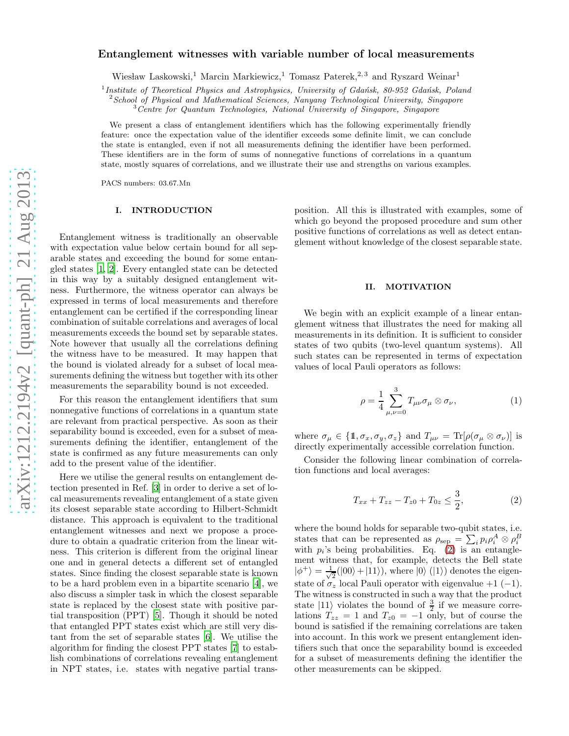# arXiv:1212.2194v2 [quant-ph] 21 Aug 2013 [arXiv:1212.2194v2 \[quant-ph\] 21 Aug 2013](http://arxiv.org/abs/1212.2194v2)

# Entanglement witnesses with variable number of local measurements

Wiesław Laskowski,<sup>1</sup> Marcin Markiewicz,<sup>1</sup> Tomasz Paterek,<sup>2,3</sup> and Ryszard Weinar<sup>1</sup>

<sup>1</sup> Institute of Theoretical Physics and Astrophysics, University of Gdańsk, 80-952 Gdańsk, Poland

<sup>2</sup> School of Physical and Mathematical Sciences, Nanyang Technological University, Singapore

<sup>3</sup> Centre for Quantum Technologies, National University of Singapore, Singapore

We present a class of entanglement identifiers which has the following experimentally friendly feature: once the expectation value of the identifier exceeds some definite limit, we can conclude the state is entangled, even if not all measurements defining the identifier have been performed. These identifiers are in the form of sums of nonnegative functions of correlations in a quantum state, mostly squares of correlations, and we illustrate their use and strengths on various examples.

PACS numbers: 03.67.Mn

### I. INTRODUCTION

Entanglement witness is traditionally an observable with expectation value below certain bound for all separable states and exceeding the bound for some entangled states [\[1](#page-5-0), [2](#page-5-1)]. Every entangled state can be detected in this way by a suitably designed entanglement witness. Furthermore, the witness operator can always be expressed in terms of local measurements and therefore entanglement can be certified if the corresponding linear combination of suitable correlations and averages of local measurements exceeds the bound set by separable states. Note however that usually all the correlations defining the witness have to be measured. It may happen that the bound is violated already for a subset of local measurements defining the witness but together with its other measurements the separability bound is not exceeded.

For this reason the entanglement identifiers that sum nonnegative functions of correlations in a quantum state are relevant from practical perspective. As soon as their separability bound is exceeded, even for a subset of measurements defining the identifier, entanglement of the state is confirmed as any future measurements can only add to the present value of the identifier.

Here we utilise the general results on entanglement detection presented in Ref. [\[3\]](#page-5-2) in order to derive a set of local measurements revealing entanglement of a state given its closest separable state according to Hilbert-Schmidt distance. This approach is equivalent to the traditional entanglement witnesses and next we propose a procedure to obtain a quadratic criterion from the linear witness. This criterion is different from the original linear one and in general detects a different set of entangled states. Since finding the closest separable state is known to be a hard problem even in a bipartite scenario [\[4\]](#page-5-3), we also discuss a simpler task in which the closest separable state is replaced by the closest state with positive partial transposition (PPT) [\[5\]](#page-5-4). Though it should be noted that entangled PPT states exist which are still very distant from the set of separable states [\[6](#page-5-5)]. We utilise the algorithm for finding the closest PPT states [\[7](#page-5-6)] to establish combinations of correlations revealing entanglement in NPT states, i.e. states with negative partial transposition. All this is illustrated with examples, some of which go beyond the proposed procedure and sum other positive functions of correlations as well as detect entanglement without knowledge of the closest separable state.

# II. MOTIVATION

We begin with an explicit example of a linear entanglement witness that illustrates the need for making all measurements in its definition. It is sufficient to consider states of two qubits (two-level quantum systems). All such states can be represented in terms of expectation values of local Pauli operators as follows:

$$
\rho = \frac{1}{4} \sum_{\mu,\nu=0}^{3} T_{\mu\nu} \sigma_{\mu} \otimes \sigma_{\nu}, \qquad (1)
$$

where  $\sigma_{\mu} \in \{1, \sigma_x, \sigma_y, \sigma_z\}$  and  $T_{\mu\nu} = \text{Tr}[\rho(\sigma_{\mu} \otimes \sigma_{\nu})]$  is directly experimentally accessible correlation function.

Consider the following linear combination of correlation functions and local averages:

<span id="page-0-0"></span>
$$
T_{xx} + T_{zz} - T_{z0} + T_{0z} \le \frac{3}{2},\tag{2}
$$

where the bound holds for separable two-qubit states, i.e. states that can be represented as  $\rho_{\rm sep} = \sum_i p_i \rho_i^A \otimes \rho_i^B$ with  $p_i$ 's being probabilities. Eq. [\(2\)](#page-0-0) is an entanglement witness that, for example, detects the Bell state  $|\phi^+\rangle = \frac{1}{\sqrt{2}}$  $\frac{1}{2}(|00\rangle+|11\rangle)$ , where  $|0\rangle$  ( $|1\rangle$ ) denotes the eigenstate of  $\sigma_z$  local Pauli operator with eigenvalue +1 (−1). The witness is constructed in such a way that the product state  $|11\rangle$  violates the bound of  $\frac{3}{2}$  if we measure correlations  $T_{zz} = 1$  and  $T_{z0} = -1$  only, but of course the bound is satisfied if the remaining correlations are taken into account. In this work we present entanglement identifiers such that once the separability bound is exceeded for a subset of measurements defining the identifier the other measurements can be skipped.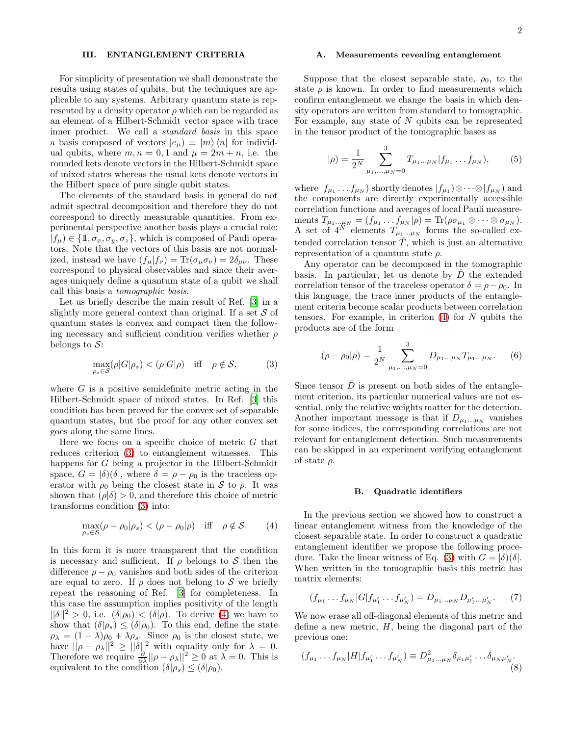# III. ENTANGLEMENT CRITERIA

For simplicity of presentation we shall demonstrate the results using states of qubits, but the techniques are applicable to any systems. Arbitrary quantum state is represented by a density operator  $\rho$  which can be regarded as an element of a Hilbert-Schmidt vector space with trace inner product. We call a standard basis in this space a basis composed of vectors  $|e_{\mu}\rangle \equiv |m\rangle\langle n|$  for individual qubits, where  $m, n = 0, 1$  and  $\mu = 2m + n$ , i.e. the rounded kets denote vectors in the Hilbert-Schmidt space of mixed states whereas the usual kets denote vectors in the Hilbert space of pure single qubit states.

The elements of the standard basis in general do not admit spectral decomposition and therefore they do not correspond to directly measurable quantities. From experimental perspective another basis plays a crucial role:  $|f_\mu\rangle \in \{1,\sigma_x,\sigma_y,\sigma_z\}$ , which is composed of Pauli operators. Note that the vectors of this basis are not normalized, instead we have  $(f_{\mu}|f_{\nu}) = \text{Tr}(\sigma_{\mu}\sigma_{\nu}) = 2\delta_{\mu\nu}$ . These correspond to physical observables and since their averages uniquely define a quantum state of a qubit we shall call this basis a tomographic basis.

Let us briefly describe the main result of Ref. [\[3](#page-5-2)] in a slightly more general context than original. If a set  $\mathcal S$  of quantum states is convex and compact then the following necessary and sufficient condition verifies whether  $\rho$ belongs to  $\mathcal{S}$ :

<span id="page-1-0"></span>
$$
\max_{\rho_s \in \mathcal{S}} (\rho |G|\rho_s) < (\rho |G|\rho) \quad \text{iff} \quad \rho \notin \mathcal{S}, \tag{3}
$$

where  $G$  is a positive semidefinite metric acting in the Hilbert-Schmidt space of mixed states. In Ref. [\[3](#page-5-2)] this condition has been proved for the convex set of separable quantum states, but the proof for any other convex set goes along the same lines.

Here we focus on a specific choice of metric  $G$  that reduces criterion [\(3\)](#page-1-0) to entanglement witnesses. This happens for G being a projector in the Hilbert-Schmidt space,  $G = |\delta\rangle(\delta|)$ , where  $\delta = \rho - \rho_0$  is the traceless operator with  $\rho_0$  being the closest state in S to  $\rho$ . It was shown that  $(\rho|\delta) > 0$ , and therefore this choice of metric transforms condition [\(3\)](#page-1-0) into:

<span id="page-1-1"></span>
$$
\max_{\rho_s \in \mathcal{S}} (\rho - \rho_0 | \rho_s) < (\rho - \rho_0 | \rho) \quad \text{iff} \quad \rho \notin \mathcal{S}. \tag{4}
$$

In this form it is more transparent that the condition is necessary and sufficient. If  $\rho$  belongs to S then the difference  $\rho - \rho_0$  vanishes and both sides of the criterion are equal to zero. If  $\rho$  does not belong to S we briefly repeat the reasoning of Ref. [\[3\]](#page-5-2) for completeness. In this case the assumption implies positivity of the length  $||\delta||^2 > 0$ , i.e.  $(\delta|\rho_0) < (\delta|\rho)$ . To derive [\(4\)](#page-1-1) we have to show that  $(\delta|\rho_s) \leq (\delta|\rho_0)$ . To this end, define the state  $\rho_{\lambda} = (1 - \lambda)\rho_0 + \lambda \rho_s$ . Since  $\rho_0$  is the closest state, we have  $||\rho - \rho_{\lambda}||^2 \ge ||\delta||^2$  with equality only for  $\lambda = 0$ . Therefore we require  $\frac{\partial}{\partial \lambda} ||\rho - \rho_{\lambda}||^2 \geq 0$  at  $\lambda = 0$ . This is equivalent to the condition  $(\delta|\rho_s) \leq (\delta|\rho_0)$ .

# A. Measurements revealing entanglement

Suppose that the closest separable state,  $\rho_0$ , to the state  $\rho$  is known. In order to find measurements which confirm entanglement we change the basis in which density operators are written from standard to tomographic. For example, any state of  $N$  qubits can be represented in the tensor product of the tomographic bases as

$$
|\rho) = \frac{1}{2^N} \sum_{\mu_1, ..., \mu_N = 0}^{3} T_{\mu_1 ... \mu_N} | f_{\mu_1} ... f_{\mu_N} \rangle, \qquad (5)
$$

where  $|f_{\mu_1} \dots f_{\mu_N}$  shortly denotes  $|f_{\mu_1}| \otimes \cdots \otimes |f_{\mu_N}$  and the components are directly experimentally accessible correlation functions and averages of local Pauli measurements  $T_{\mu_1...\mu_N} = (f_{\mu_1} \dots f_{\mu_N} | \rho) = \text{Tr}(\rho \sigma_{\mu_1} \otimes \dots \otimes \sigma_{\mu_N}).$ A set of  $4^N$  elements  $T_{\mu_1...\mu_N}$  forms the so-called extended correlation tensor  $\tilde{T}$ , which is just an alternative representation of a quantum state  $\rho$ .

Any operator can be decomposed in the tomographic basis. In particular, let us denote by  $\hat{D}$  the extended correlation tensor of the traceless operator  $\delta = \rho - \rho_0$ . In this language, the trace inner products of the entanglement criteria become scalar products between correlation tensors. For example, in criterion  $(4)$  for N qubits the products are of the form

$$
(\rho - \rho_0 | \rho) = \frac{1}{2^N} \sum_{\mu_1, ..., \mu_N = 0}^{3} D_{\mu_1 ... \mu_N} T_{\mu_1 ... \mu_N}.
$$
 (6)

Since tensor  $\ddot{D}$  is present on both sides of the entanglement criterion, its particular numerical values are not essential, only the relative weights matter for the detection. Another important message is that if  $D_{\mu_1...\mu_N}$  vanishes for some indices, the corresponding correlations are not relevant for entanglement detection. Such measurements can be skipped in an experiment verifying entanglement of state  $\rho$ .

# B. Quadratic identifiers

In the previous section we showed how to construct a linear entanglement witness from the knowledge of the closest separable state. In order to construct a quadratic entanglement identifier we propose the following proce-dure. Take the linear witness of Eq. [\(3\)](#page-1-0) with  $G = |\delta\rangle(\delta)$ . When written in the tomographic basis this metric has matrix elements:

$$
(f_{\mu_1} \dots f_{\mu_N} | G | f_{\mu'_1} \dots f_{\mu'_N}) = D_{\mu_1 \dots \mu_N} D_{\mu'_1 \dots \mu'_N}.
$$
 (7)

We now erase all off-diagonal elements of this metric and define a new metric,  $H$ , being the diagonal part of the previous one:

$$
(f_{\mu_1} \dots f_{\mu_N}) H | f_{\mu'_1} \dots f_{\mu'_N} \rangle \equiv D^2_{\mu_1 \dots \mu_N} \delta_{\mu_1 \mu'_1} \dots \delta_{\mu_N \mu'_N}.
$$
\n(8)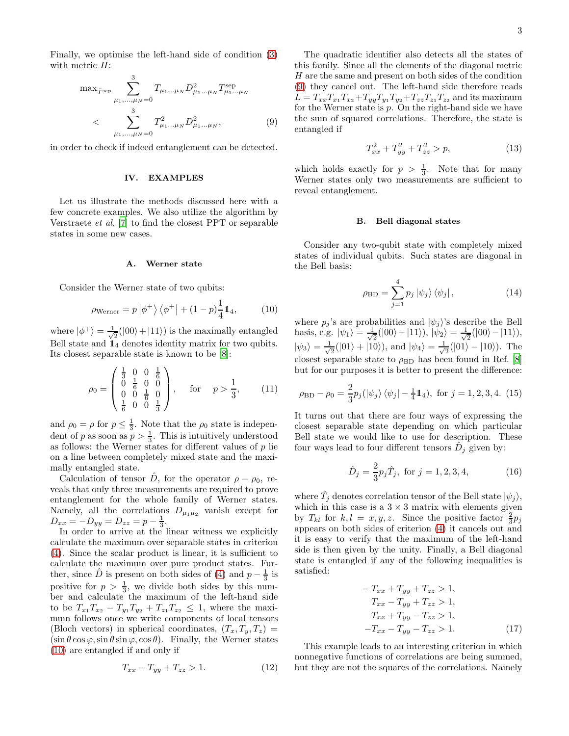<span id="page-2-1"></span>
$$
\max_{\hat{T}^{\text{sep}}} \sum_{\mu_1, ..., \mu_N=0}^{3} T_{\mu_1... \mu_N} D^2_{\mu_1... \mu_N} T^{\text{sep}}_{\mu_1... \mu_N}
$$
\n
$$
\leq \sum_{\mu_1, ..., \mu_N=0}^{3} T^2_{\mu_1... \mu_N} D^2_{\mu_1... \mu_N}, \qquad (9)
$$

in order to check if indeed entanglement can be detected.

# IV. EXAMPLES

Let us illustrate the methods discussed here with a few concrete examples. We also utilize the algorithm by Verstraete et al. [\[7\]](#page-5-6) to find the closest PPT or separable states in some new cases.

### A. Werner state

Consider the Werner state of two qubits:

<span id="page-2-0"></span>
$$
\rho_{\text{Werner}} = p \left| \phi^+ \right\rangle \left\langle \phi^+ \right| + (1 - p) \frac{1}{4} \mathbb{1}_4,\tag{10}
$$

where  $|\phi^+\rangle = \frac{1}{\sqrt{2}}$  $\frac{1}{2}(|00\rangle+|11\rangle)$  is the maximally entangled Bell state and  $\mathbb{1}_4$  denotes identity matrix for two qubits. Its closest separable state is known to be [\[8\]](#page-5-7):

$$
\rho_0 = \begin{pmatrix} \frac{1}{3} & 0 & 0 & \frac{1}{6} \\ 0 & \frac{1}{6} & 0 & 0 \\ 0 & 0 & \frac{1}{6} & 0 \\ \frac{1}{6} & 0 & 0 & \frac{1}{3} \end{pmatrix}, \quad \text{for} \quad p > \frac{1}{3}, \qquad (11)
$$

and  $\rho_0 = \rho$  for  $p \leq \frac{1}{3}$ . Note that the  $\rho_0$  state is independent of p as soon as  $p > \frac{1}{3}$ . This is intuitively understood as follows: the Werner states for different values of  $p$  lie on a line between completely mixed state and the maximally entangled state.

Calculation of tensor D, for the operator  $\rho - \rho_0$ , reveals that only three measurements are required to prove entanglement for the whole family of Werner states. Namely, all the correlations  $D_{\mu_1\mu_2}$  vanish except for  $D_{xx} = -D_{yy} = D_{zz} = p - \frac{1}{3}.$ 

In order to arrive at the linear witness we explicitly calculate the maximum over separable states in criterion [\(4\)](#page-1-1). Since the scalar product is linear, it is sufficient to calculate the maximum over pure product states. Further, since  $\hat{D}$  is present on both sides of [\(4\)](#page-1-1) and  $p - \frac{1}{3}$  is positive for  $p > \frac{1}{3}$ , we divide both sides by this number and calculate the maximum of the left-hand side to be  $T_{x_1} T_{x_2} - T_{y_1} T_{y_2} + T_{z_1} T_{z_2} \leq 1$ , where the maximum follows once we write components of local tensors (Bloch vectors) in spherical coordinates,  $(T_x, T_y, T_z)$  =  $(\sin \theta \cos \varphi, \sin \theta \sin \varphi, \cos \theta)$ . Finally, the Werner states [\(10\)](#page-2-0) are entangled if and only if

$$
T_{xx} - T_{yy} + T_{zz} > 1.
$$
 (12)

The quadratic identifier also detects all the states of this family. Since all the elements of the diagonal metric H are the same and present on both sides of the condition [\(9\)](#page-2-1) they cancel out. The left-hand side therefore reads  $L = T_{xx}T_{x_1}T_{x_2}+T_{yy}T_{y_1}T_{y_2}+T_{zz}T_{z_1}T_{z_2}$  and its maximum for the Werner state is  $p$ . On the right-hand side we have the sum of squared correlations. Therefore, the state is entangled if

<span id="page-2-3"></span>
$$
T_{xx}^2 + T_{yy}^2 + T_{zz}^2 > p,\t\t(13)
$$

which holds exactly for  $p > \frac{1}{3}$ . Note that for many Werner states only two measurements are sufficient to reveal entanglement.

### B. Bell diagonal states

Consider any two-qubit state with completely mixed states of individual qubits. Such states are diagonal in the Bell basis:

$$
\rho_{\rm BD} = \sum_{j=1}^{4} p_j \left| \psi_j \right\rangle \left\langle \psi_j \right|, \tag{14}
$$

where  $p_j$ 's are probabilities and  $|\psi_j\rangle$ 's describe the Bell basis, e.g.  $|\psi_1\rangle = \frac{1}{\sqrt{2}}$  $\frac{1}{2}(|00\rangle+|11\rangle), |\psi_2\rangle = \frac{1}{\sqrt{2}}$  $\frac{1}{2}(|00\rangle - |11\rangle),$  $|\psi_3\rangle = \frac{1}{\sqrt{2}}$  $\frac{1}{2}(|01\rangle + |10\rangle)$ , and  $|\psi_4\rangle = \frac{1}{\sqrt{2}}$  $\frac{1}{2}(|01\rangle - |10\rangle)$ . The closest separable state to  $\rho_{\rm BD}$  has been found in Ref. [\[8](#page-5-7)] but for our purposes it is better to present the difference:

$$
\rho_{\rm BD} - \rho_0 = \frac{2}{3} p_j (|\psi_j\rangle \langle \psi_j| - \frac{1}{4} \mathbb{1}_4), \text{ for } j = 1, 2, 3, 4. (15)
$$

It turns out that there are four ways of expressing the closest separable state depending on which particular Bell state we would like to use for description. These four ways lead to four different tensors  $\hat{D}_j$  given by:

$$
\hat{D}_j = \frac{2}{3} p_j \hat{T}_j, \text{ for } j = 1, 2, 3, 4,
$$
\n(16)

where  $\hat{T}_j$  denotes correlation tensor of the Bell state  $|\psi_j\rangle$ , which in this case is a  $3 \times 3$  matrix with elements given by  $T_{kl}$  for  $k, l = x, y, z$ . Since the positive factor  $\frac{2}{3}p_j$ appears on both sides of criterion [\(4\)](#page-1-1) it cancels out and it is easy to verify that the maximum of the left-hand side is then given by the unity. Finally, a Bell diagonal state is entangled if any of the following inequalities is satisfied:

<span id="page-2-2"></span>
$$
-T_{xx} + T_{yy} + T_{zz} > 1,
$$
  
\n
$$
T_{xx} - T_{yy} + T_{zz} > 1,
$$
  
\n
$$
T_{xx} + T_{yy} - T_{zz} > 1,
$$
  
\n
$$
-T_{xx} - T_{yy} - T_{zz} > 1.
$$
\n(17)

This example leads to an interesting criterion in which nonnegative functions of correlations are being summed, but they are not the squares of the correlations. Namely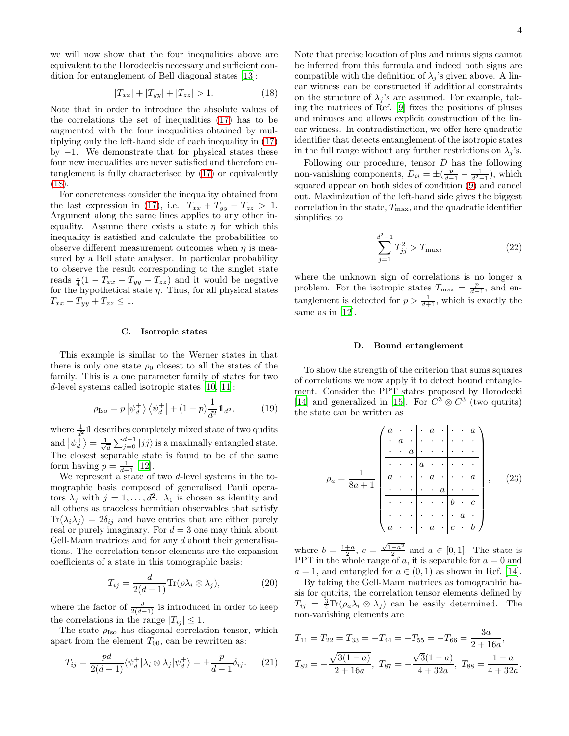we will now show that the four inequalities above are equivalent to the Horodeckis necessary and sufficient condition for entanglement of Bell diagonal states [\[13](#page-5-8)]:

<span id="page-3-0"></span>
$$
|T_{xx}| + |T_{yy}| + |T_{zz}| > 1.
$$
 (18)

Note that in order to introduce the absolute values of the correlations the set of inequalities [\(17\)](#page-2-2) has to be augmented with the four inequalities obtained by multiplying only the left-hand side of each inequality in [\(17\)](#page-2-2) by  $-1$ . We demonstrate that for physical states these four new inequalities are never satisfied and therefore entanglement is fully characterised by [\(17\)](#page-2-2) or equivalently [\(18\)](#page-3-0).

For concreteness consider the inequality obtained from the last expression in [\(17\)](#page-2-2), i.e.  $T_{xx} + T_{yy} + T_{zz} > 1$ . Argument along the same lines applies to any other inequality. Assume there exists a state  $\eta$  for which this inequality is satisfied and calculate the probabilities to observe different measurement outcomes when  $n$  is measured by a Bell state analyser. In particular probability to observe the result corresponding to the singlet state reads  $\frac{1}{4}(1 - T_{xx} - T_{yy} - T_{zz})$  and it would be negative for the hypothetical state  $\eta$ . Thus, for all physical states  $T_{xx} + T_{yy} + T_{zz} \leq 1.$ 

# C. Isotropic states

This example is similar to the Werner states in that there is only one state  $\rho_0$  closest to all the states of the family. This is a one parameter family of states for two d-level systems called isotropic states [\[10,](#page-5-9) [11](#page-5-10)]:

$$
\rho_{\text{Iso}} = p \left| \psi_d^+ \right\rangle \left\langle \psi_d^+ \right| + (1 - p) \frac{1}{d^2} \mathbb{1}_{d^2},\tag{19}
$$

where  $\frac{1}{d^2} \mathbb{1}$  describes completely mixed state of two qudits and  $|\psi_d^+\rangle = \frac{1}{\sqrt{2}}$  $\frac{1}{d}\sum_{j=0}^{d-1}|jj\rangle$  is a maximally entangled state. The closest separable state is found to be of the same form having  $p = \frac{1}{d+1}$  [\[12\]](#page-5-11).

We represent a state of two d-level systems in the tomographic basis composed of generalised Pauli operators  $\lambda_j$  with  $j = 1, ..., d^2$ .  $\lambda_1$  is chosen as identity and all others as traceless hermitian observables that satisfy  $\text{Tr}(\lambda_i \lambda_j) = 2\delta_{ij}$  and have entries that are either purely real or purely imaginary. For  $d = 3$  one may think about Gell-Mann matrices and for any  $d$  about their generalisations. The correlation tensor elements are the expansion coefficients of a state in this tomographic basis:

$$
T_{ij} = \frac{d}{2(d-1)} \text{Tr}(\rho \lambda_i \otimes \lambda_j), \tag{20}
$$

where the factor of  $\frac{d}{2(d-1)}$  is introduced in order to keep the correlations in the range  $|T_{ij}| \leq 1$ .

The state  $\rho_{\text{Iso}}$  has diagonal correlation tensor, which apart from the element  $T_{00}$ , can be rewritten as:

$$
T_{ij} = \frac{pd}{2(d-1)} \langle \psi_d^+ | \lambda_i \otimes \lambda_j | \psi_d^+ \rangle = \pm \frac{p}{d-1} \delta_{ij}.
$$
 (21)

Note that precise location of plus and minus signs cannot be inferred from this formula and indeed both signs are compatible with the definition of  $\lambda_j$ 's given above. A linear witness can be constructed if additional constraints on the structure of  $\lambda_i$ 's are assumed. For example, taking the matrices of Ref. [\[9\]](#page-5-12) fixes the positions of pluses and minuses and allows explicit construction of the linear witness. In contradistinction, we offer here quadratic identifier that detects entanglement of the isotropic states in the full range without any further restrictions on  $\lambda_i$ 's.

Following our procedure, tensor  $\hat{D}$  has the following non-vanishing components,  $D_{ii} = \pm \left(\frac{p}{d-1} - \frac{1}{d^2-1}\right)$ , which squared appear on both sides of condition [\(9\)](#page-2-1) and cancel out. Maximization of the left-hand side gives the biggest correlation in the state,  $T_{\text{max}}$ , and the quadratic identifier simplifies to

<span id="page-3-2"></span>
$$
\sum_{j=1}^{d^2-1} T_{jj}^2 > T_{\text{max}},\tag{22}
$$

where the unknown sign of correlations is no longer a problem. For the isotropic states  $T_{\text{max}} = \frac{p}{d-1}$ , and entanglement is detected for  $p > \frac{1}{d+1}$ , which is exactly the same as in [\[12\]](#page-5-11).

### D. Bound entanglement

To show the strength of the criterion that sums squares of correlations we now apply it to detect bound entanglement. Consider the PPT states proposed by Horodecki [\[14\]](#page-5-13) and generalized in [\[15\]](#page-5-14). For  $C^3 \otimes C^3$  (two qutrits) the state can be written as

<span id="page-3-1"></span>
$$
\rho_a = \frac{1}{8a+1} \begin{pmatrix}\n a & \cdots & a & \cdots & a \\
\vdots & a & \cdots & \vdots & \ddots & \vdots \\
\vdots & \ddots & a & \ddots & \ddots & \vdots \\
a & \cdots & a & \cdots & a & \vdots \\
\vdots & \ddots & \ddots & \ddots & \vdots \\
\vdots & \ddots & \ddots & \ddots & a & \vdots \\
a & \cdots & a & \cdots & a & \vdots \\
a & \cdots & a & \cdots & a & \vdots \\
\end{pmatrix}, \quad (23)
$$

where  $b = \frac{1+a}{2}$ ,  $c = \frac{\sqrt{1-a^2}}{2}$  and  $a \in [0,1]$ . The state is PPT in the whole range of  $a$ , it is separable for  $a = 0$  and  $a = 1$ , and entangled for  $a \in (0, 1)$  as shown in Ref. [\[14\]](#page-5-13). By taking the Gell-Mann matrices as tomographic basis for qutrits, the correlation tensor elements defined by  $T_{ij} = \frac{3}{4} \text{Tr}(\rho_a \lambda_i \otimes \lambda_j)$  can be easily determined. The non-vanishing elements are

$$
T_{11} = T_{22} = T_{33} = -T_{44} = -T_{55} = -T_{66} = \frac{3a}{2 + 16a},
$$
  

$$
T_{82} = -\frac{\sqrt{3(1 - a)}}{2 + 16a}, \ T_{87} = -\frac{\sqrt{3}(1 - a)}{4 + 32a}, \ T_{88} = \frac{1 - a}{4 + 32a}.
$$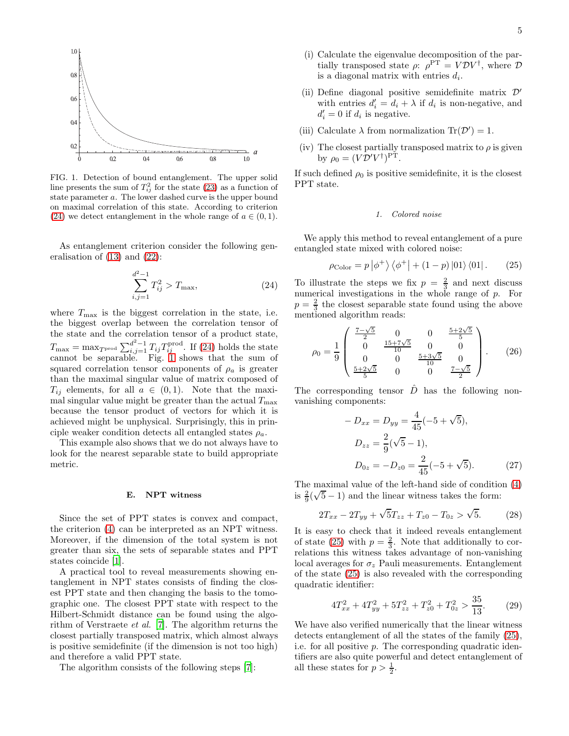

<span id="page-4-1"></span>FIG. 1. Detection of bound entanglement. The upper solid line presents the sum of  $T_{ij}^2$  for the state [\(23\)](#page-3-1) as a function of state parameter a. The lower dashed curve is the upper bound on maximal correlation of this state. According to criterion [\(24\)](#page-4-0) we detect entanglement in the whole range of  $a \in (0,1)$ .

As entanglement criterion consider the following generalisation of [\(13\)](#page-2-3) and [\(22\)](#page-3-2):

<span id="page-4-0"></span>
$$
\sum_{i,j=1}^{d^2-1} T_{ij}^2 > T_{\text{max}},\tag{24}
$$

where  $T_{\text{max}}$  is the biggest correlation in the state, i.e. the biggest overlap between the correlation tensor of the state and the correlation tensor of a product state,  $T_{\text{max}} = \max_{T_{\text{prod}}} \sum_{i,j=1}^{d^2-1} T_{ij} T_{ij}^{\text{prod}}$ . If [\(24\)](#page-4-0) holds the state cannot be separable. Fig. [1](#page-4-1) shows that the sum of squared correlation tensor components of  $\rho_a$  is greater than the maximal singular value of matrix composed of  $T_{ij}$  elements, for all  $a \in (0,1)$ . Note that the maximal singular value might be greater than the actual  $T_{\text{max}}$ because the tensor product of vectors for which it is achieved might be unphysical. Surprisingly, this in principle weaker condition detects all entangled states  $\rho_a$ .

This example also shows that we do not always have to look for the nearest separable state to build appropriate metric.

### E. NPT witness

Since the set of PPT states is convex and compact, the criterion [\(4\)](#page-1-1) can be interpreted as an NPT witness. Moreover, if the dimension of the total system is not greater than six, the sets of separable states and PPT states coincide [\[1](#page-5-0)].

A practical tool to reveal measurements showing entanglement in NPT states consists of finding the closest PPT state and then changing the basis to the tomographic one. The closest PPT state with respect to the Hilbert-Schmidt distance can be found using the algorithm of Verstraete et al. [\[7\]](#page-5-6). The algorithm returns the closest partially transposed matrix, which almost always is positive semidefinite (if the dimension is not too high) and therefore a valid PPT state.

The algorithm consists of the following steps [\[7\]](#page-5-6):

- (i) Calculate the eigenvalue decomposition of the partially transposed state  $\rho$ :  $\rho^{\text{PT}} = V \mathcal{D} V^{\dagger}$ , where  $\mathcal{D}$ is a diagonal matrix with entries  $d_i$ .
- (ii) Define diagonal positive semidefinite matrix  $\mathcal{D}'$ with entries  $d_i' = d_i + \lambda$  if  $d_i$  is non-negative, and  $d_i' = 0$  if  $d_i$  is negative.
- (iii) Calculate  $\lambda$  from normalization  $\text{Tr}(\mathcal{D}')=1$ .
- (iv) The closest partially transposed matrix to  $\rho$  is given by  $\rho_0 = (V \mathcal{D}' V^{\dagger})^{\text{PT}}$ .

If such defined  $\rho_0$  is positive semidefinite, it is the closest PPT state.

# 1. Colored noise

We apply this method to reveal entanglement of a pure entangled state mixed with colored noise:

<span id="page-4-2"></span>
$$
\rho_{\text{Color}} = p \left| \phi^+ \right\rangle \left\langle \phi^+ \right| + (1 - p) \left| 01 \right\rangle \left\langle 01 \right|.
$$
 (25)

To illustrate the steps we fix  $p = \frac{2}{3}$  and next discuss numerical investigations in the whole range of p. For  $p = \frac{2}{3}$  the closest separable state found using the above mentioned algorithm reads:

$$
\rho_0 = \frac{1}{9} \begin{pmatrix} \frac{7-\sqrt{5}}{2} & 0 & 0 & \frac{5+2\sqrt{5}}{5} \\ 0 & \frac{15+7\sqrt{5}}{10} & 0 & 0 \\ 0 & 0 & \frac{5+3\sqrt{5}}{10} & 0 \\ \frac{5+2\sqrt{5}}{5} & 0 & 0 & \frac{7-\sqrt{5}}{2} \end{pmatrix} .
$$
 (26)

The corresponding tensor  $\hat{D}$  has the following nonvanishing components:

$$
-D_{xx} = D_{yy} = \frac{4}{45}(-5 + \sqrt{5}),
$$
  
\n
$$
D_{zz} = \frac{2}{9}(\sqrt{5} - 1),
$$
  
\n
$$
D_{0z} = -D_{z0} = \frac{2}{45}(-5 + \sqrt{5}).
$$
\n(27)

The maximal value of the left-hand side of condition [\(4\)](#page-1-1) is  $\frac{2}{9}(\sqrt{5}-1)$  and the linear witness takes the form:

$$
2T_{xx} - 2T_{yy} + \sqrt{5}T_{zz} + T_{z0} - T_{0z} > \sqrt{5}.
$$
 (28)

It is easy to check that it indeed reveals entanglement of state [\(25\)](#page-4-2) with  $p = \frac{2}{3}$ . Note that additionally to correlations this witness takes advantage of non-vanishing local averages for  $\sigma_z$  Pauli measurements. Entanglement of the state [\(25\)](#page-4-2) is also revealed with the corresponding quadratic identifier:

$$
4T_{xx}^2 + 4T_{yy}^2 + 5T_{zz}^2 + T_{z0}^2 + T_{0z}^2 > \frac{35}{13}.
$$
 (29)

We have also verified numerically that the linear witness detects entanglement of all the states of the family [\(25\)](#page-4-2), i.e. for all positive  $p$ . The corresponding quadratic identifiers are also quite powerful and detect entanglement of all these states for  $p > \frac{1}{2}$ .